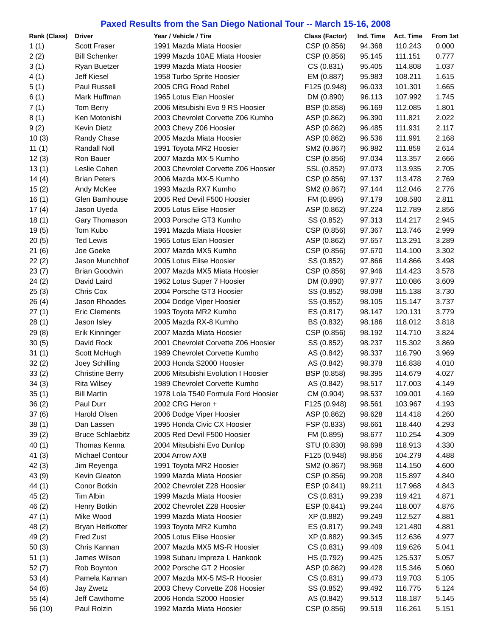## **Paxed Results from the San Diego National Tour -- March 15-16, 2008**

| Rank (Class) | <b>Driver</b>           | Year / Vehicle / Tire               | <b>Class (Factor)</b> | Ind. Time | Act. Time | From 1st |
|--------------|-------------------------|-------------------------------------|-----------------------|-----------|-----------|----------|
| 1(1)         | <b>Scott Fraser</b>     | 1991 Mazda Miata Hoosier            | CSP (0.856)           | 94.368    | 110.243   | 0.000    |
| 2(2)         | <b>Bill Schenker</b>    | 1999 Mazda 10AE Miata Hoosier       | CSP (0.856)           | 95.145    | 111.151   | 0.777    |
| 3(1)         | <b>Ryan Buetzer</b>     | 1999 Mazda Miata Hoosier            | CS (0.831)            | 95.405    | 114.808   | 1.037    |
| 4(1)         | Jeff Kiesel             | 1958 Turbo Sprite Hoosier           | EM (0.887)            | 95.983    | 108.211   | 1.615    |
| 5(1)         | Paul Russell            | 2005 CRG Road Robel                 | F125 (0.948)          | 96.033    | 101.301   | 1.665    |
| 6(1)         | Mark Huffman            | 1965 Lotus Elan Hoosier             | DM (0.890)            | 96.113    | 107.992   | 1.745    |
| 7(1)         | Tom Berry               | 2006 Mitsubishi Evo 9 RS Hoosier    | BSP (0.858)           | 96.169    | 112.085   | 1.801    |
| 8(1)         | Ken Motonishi           | 2003 Chevrolet Corvette Z06 Kumho   | ASP (0.862)           | 96.390    | 111.821   | 2.022    |
| 9(2)         | <b>Kevin Dietz</b>      | 2003 Chevy Z06 Hoosier              | ASP (0.862)           | 96.485    | 111.931   | 2.117    |
| 10(3)        | Randy Chase             | 2005 Mazda Miata Hoosier            | ASP (0.862)           | 96.536    | 111.991   | 2.168    |
| 11 $(1)$     | Randall Noll            | 1991 Toyota MR2 Hoosier             | SM2 (0.867)           | 96.982    | 111.859   | 2.614    |
| 12(3)        | Ron Bauer               | 2007 Mazda MX-5 Kumho               | CSP (0.856)           | 97.034    | 113.357   | 2.666    |
| 13(1)        | Leslie Cohen            | 2003 Chevrolet Corvette Z06 Hoosier | SSL (0.852)           | 97.073    | 113.935   | 2.705    |
| 14(4)        | <b>Brian Peters</b>     | 2006 Mazda MX-5 Kumho               | CSP (0.856)           | 97.137    | 113.478   | 2.769    |
| 15(2)        | Andy McKee              | 1993 Mazda RX7 Kumho                | SM2 (0.867)           | 97.144    | 112.046   | 2.776    |
| 16(1)        | Glen Barnhouse          | 2005 Red Devil F500 Hoosier         | FM (0.895)            | 97.179    | 108.580   | 2.811    |
| 17(4)        | Jason Uyeda             | 2005 Lotus Elise Hoosier            | ASP (0.862)           | 97.224    | 112.789   | 2.856    |
|              |                         | 2003 Porsche GT3 Kumho              |                       |           | 114.217   |          |
| 18(1)        | Gary Thomason           |                                     | SS (0.852)            | 97.313    |           | 2.945    |
| 19(5)        | Tom Kubo                | 1991 Mazda Miata Hoosier            | CSP (0.856)           | 97.367    | 113.746   | 2.999    |
| 20(5)        | <b>Ted Lewis</b>        | 1965 Lotus Elan Hoosier             | ASP (0.862)           | 97.657    | 113.291   | 3.289    |
| 21(6)        | Joe Goeke               | 2007 Mazda MX5 Kumho                | CSP (0.856)           | 97.670    | 114.100   | 3.302    |
| 22(2)        | Jason Munchhof          | 2005 Lotus Elise Hoosier            | SS (0.852)            | 97.866    | 114.866   | 3.498    |
| 23(7)        | <b>Brian Goodwin</b>    | 2007 Mazda MX5 Miata Hoosier        | CSP (0.856)           | 97.946    | 114.423   | 3.578    |
| 24(2)        | David Laird             | 1962 Lotus Super 7 Hoosier          | DM (0.890)            | 97.977    | 110.086   | 3.609    |
| 25(3)        | Chris Cox               | 2004 Porsche GT3 Hoosier            | SS (0.852)            | 98.098    | 115.138   | 3.730    |
| 26(4)        | Jason Rhoades           | 2004 Dodge Viper Hoosier            | SS (0.852)            | 98.105    | 115.147   | 3.737    |
| 27(1)        | <b>Eric Clements</b>    | 1993 Toyota MR2 Kumho               | ES (0.817)            | 98.147    | 120.131   | 3.779    |
| 28(1)        | Jason Isley             | 2005 Mazda RX-8 Kumho               | BS (0.832)            | 98.186    | 118.012   | 3.818    |
| 29(8)        | Erik Kinninger          | 2007 Mazda Miata Hoosier            | CSP (0.856)           | 98.192    | 114.710   | 3.824    |
| 30(5)        | David Rock              | 2001 Chevrolet Corvette Z06 Hoosier | SS (0.852)            | 98.237    | 115.302   | 3.869    |
| 31(1)        | Scott McHugh            | 1989 Chevrolet Corvette Kumho       | AS (0.842)            | 98.337    | 116.790   | 3.969    |
| 32(2)        | Joey Schilling          | 2003 Honda S2000 Hoosier            | AS (0.842)            | 98.378    | 116.838   | 4.010    |
| 33(2)        | <b>Christine Berry</b>  | 2006 Mitsubishi Evolution I Hoosier | BSP (0.858)           | 98.395    | 114.679   | 4.027    |
| 34(3)        | <b>Rita Wilsey</b>      | 1989 Chevrolet Corvette Kumho       | AS (0.842)            | 98.517    | 117.003   | 4.149    |
| 35(1)        | <b>Bill Martin</b>      | 1978 Lola T540 Formula Ford Hoosier | CM (0.904)            | 98.537    | 109.001   | 4.169    |
| 36(2)        | Paul Durr               | 2002 CRG Heron +                    | F125 (0.948)          | 98.561    | 103.967   | 4.193    |
| 37(6)        | Harold Olsen            | 2006 Dodge Viper Hoosier            | ASP (0.862)           | 98.628    | 114.418   | 4.260    |
| 38(1)        | Dan Lassen              | 1995 Honda Civic CX Hoosier         | FSP (0.833)           | 98.661    | 118.440   | 4.293    |
| 39(2)        | <b>Bruce Schlaebitz</b> | 2005 Red Devil F500 Hoosier         | FM (0.895)            | 98.677    | 110.254   | 4.309    |
| 40(1)        | Thomas Kenna            | 2004 Mitsubishi Evo Dunlop          | STU (0.830)           | 98.698    | 118.913   | 4.330    |
| 41(3)        | Michael Contour         | 2004 Arrow AX8                      | F125 (0.948)          | 98.856    | 104.279   | 4.488    |
| 42(3)        | Jim Reyenga             | 1991 Toyota MR2 Hoosier             | SM2 (0.867)           | 98.968    | 114.150   | 4.600    |
| 43 (9)       | Kevin Gleaton           | 1999 Mazda Miata Hoosier            | CSP (0.856)           | 99.208    | 115.897   | 4.840    |
| 44(1)        | Conor Botkin            | 2002 Chevrolet Z28 Hoosier          | ESP (0.841)           | 99.211    | 117.968   | 4.843    |
| 45(2)        | Tim Albin               | 1999 Mazda Miata Hoosier            | CS (0.831)            | 99.239    | 119.421   | 4.871    |
| 46(2)        | Henry Botkin            | 2002 Chevrolet Z28 Hoosier          | ESP (0.841)           | 99.244    | 118.007   | 4.876    |
| 47(1)        | Mike Wood               | 1999 Mazda Miata Hoosier            | XP (0.882)            | 99.249    | 112.527   | 4.881    |
| 48(2)        | Bryan Heitkotter        | 1993 Toyota MR2 Kumho               | ES (0.817)            | 99.249    | 121.480   | 4.881    |
| 49(2)        | Fred Zust               | 2005 Lotus Elise Hoosier            | XP (0.882)            | 99.345    | 112.636   | 4.977    |
| 50(3)        | Chris Kannan            | 2007 Mazda MX5 MS-R Hoosier         | CS (0.831)            | 99.409    | 119.626   | 5.041    |
| 51(1)        | James Wilson            | 1998 Subaru Impreza L Hankook       | HS (0.792)            | 99.425    | 125.537   | 5.057    |
| 52(7)        | Rob Boynton             | 2002 Porsche GT 2 Hoosier           | ASP (0.862)           | 99.428    | 115.346   | 5.060    |
| 53(4)        | Pamela Kannan           | 2007 Mazda MX-5 MS-R Hoosier        | CS (0.831)            | 99.473    | 119.703   | 5.105    |
| 54(6)        | Jay Zwetz               | 2003 Chevy Corvette Z06 Hoosier     | SS (0.852)            | 99.492    | 116.775   | 5.124    |
|              | Jeff Cawthorne          | 2006 Honda S2000 Hoosier            | AS (0.842)            | 99.513    | 118.187   | 5.145    |
| 55(4)        |                         |                                     |                       |           |           |          |
| 56 (10)      | Paul Rolzin             | 1992 Mazda Miata Hoosier            | CSP (0.856)           | 99.519    | 116.261   | 5.151    |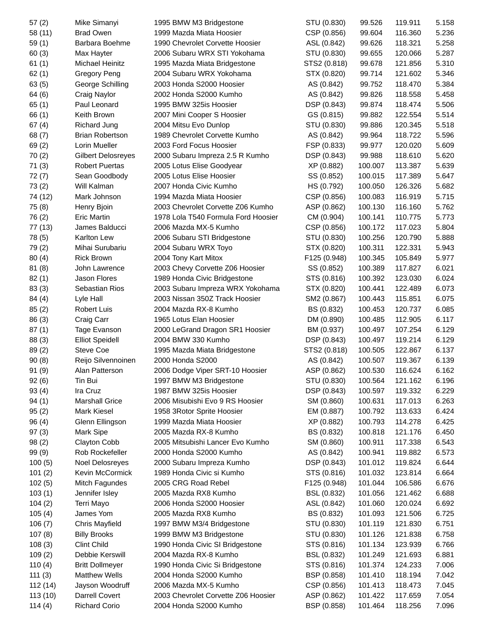| 57(2)    | Mike Simanyi              | 1995 BMW M3 Bridgestone             | STU (0.830)  | 99.526  | 119.911 | 5.158 |
|----------|---------------------------|-------------------------------------|--------------|---------|---------|-------|
| 58 (11)  | <b>Brad Owen</b>          | 1999 Mazda Miata Hoosier            | CSP (0.856)  | 99.604  | 116.360 | 5.236 |
| 59(1)    | Barbara Boehme            | 1990 Chevrolet Corvette Hoosier     | ASL (0.842)  | 99.626  | 118.321 | 5.258 |
| 60(3)    | Max Hayter                | 2006 Subaru WRX STI Yokohama        | STU (0.830)  | 99.655  | 120.066 | 5.287 |
| 61(1)    | <b>Michael Heinitz</b>    | 1995 Mazda Miata Bridgestone        | STS2 (0.818) | 99.678  | 121.856 | 5.310 |
| 62(1)    | <b>Gregory Peng</b>       | 2004 Subaru WRX Yokohama            | STX (0.820)  | 99.714  | 121.602 | 5.346 |
| 63(5)    | George Schilling          | 2003 Honda S2000 Hoosier            | AS (0.842)   | 99.752  | 118.470 | 5.384 |
| 64(6)    | Craig Naylor              | 2002 Honda S2000 Kumho              | AS (0.842)   | 99.826  | 118.558 | 5.458 |
| 65(1)    | Paul Leonard              | 1995 BMW 325is Hoosier              | DSP (0.843)  | 99.874  | 118.474 | 5.506 |
| 66(1)    | Keith Brown               | 2007 Mini Cooper S Hoosier          | GS (0.815)   | 99.882  | 122.554 | 5.514 |
|          | <b>Richard Jung</b>       |                                     |              |         |         |       |
| 67(4)    |                           | 2004 Mitsu Evo Dunlop               | STU (0.830)  | 99.886  | 120.345 | 5.518 |
| 68(7)    | <b>Brian Robertson</b>    | 1989 Chevrolet Corvette Kumho       | AS (0.842)   | 99.964  | 118.722 | 5.596 |
| 69(2)    | Lorin Mueller             | 2003 Ford Focus Hoosier             | FSP (0.833)  | 99.977  | 120.020 | 5.609 |
| 70(2)    | <b>Gilbert Delosreyes</b> | 2000 Subaru Impreza 2.5 R Kumho     | DSP (0.843)  | 99.988  | 118.610 | 5.620 |
| 71(3)    | <b>Robert Puertas</b>     | 2005 Lotus Elise Goodyear           | XP (0.882)   | 100.007 | 113.387 | 5.639 |
| 72(7)    | Sean Goodbody             | 2005 Lotus Elise Hoosier            | SS (0.852)   | 100.015 | 117.389 | 5.647 |
| 73(2)    | Will Kalman               | 2007 Honda Civic Kumho              | HS (0.792)   | 100.050 | 126.326 | 5.682 |
| 74 (12)  | Mark Johnson              | 1994 Mazda Miata Hoosier            | CSP (0.856)  | 100.083 | 116.919 | 5.715 |
| 75(8)    | Henry Bjoin               | 2003 Chevrolet Corvette Z06 Kumho   | ASP (0.862)  | 100.130 | 116.160 | 5.762 |
| 76(2)    | <b>Eric Martin</b>        | 1978 Lola T540 Formula Ford Hoosier | CM (0.904)   | 100.141 | 110.775 | 5.773 |
| 77 (13)  | James Balducci            | 2006 Mazda MX-5 Kumho               | CSP (0.856)  | 100.172 | 117.023 | 5.804 |
| 78 (5)   | Karlton Lew               | 2006 Subaru STI Bridgestone         | STU (0.830)  | 100.256 | 120.790 | 5.888 |
| 79(2)    | Mihai Surubariu           | 2004 Subaru WRX Toyo                | STX (0.820)  | 100.311 | 122.331 | 5.943 |
| 80(4)    | <b>Rick Brown</b>         | 2004 Tony Kart Mitox                | F125 (0.948) | 100.345 | 105.849 | 5.977 |
| 81(8)    | John Lawrence             | 2003 Chevy Corvette Z06 Hoosier     | SS (0.852)   | 100.389 | 117.827 | 6.021 |
| 82(1)    | Jason Flores              | 1989 Honda Civic Bridgestone        | STS (0.816)  | 100.392 | 123.030 | 6.024 |
| 83(3)    | Sebastian Rios            | 2003 Subaru Impreza WRX Yokohama    | STX (0.820)  | 100.441 | 122.489 | 6.073 |
| 84(4)    | Lyle Hall                 | 2003 Nissan 350Z Track Hoosier      | SM2 (0.867)  | 100.443 | 115.851 | 6.075 |
| 85(2)    | Robert Luis               | 2004 Mazda RX-8 Kumho               | BS (0.832)   | 100.453 | 120.737 | 6.085 |
| 86(3)    | Craig Carr                | 1965 Lotus Elan Hoosier             | DM (0.890)   | 100.485 | 112.905 | 6.117 |
| 87(1)    | Tage Evanson              | 2000 LeGrand Dragon SR1 Hoosier     | BM (0.937)   | 100.497 | 107.254 | 6.129 |
| 88 (3)   | <b>Elliot Speidell</b>    | 2004 BMW 330 Kumho                  | DSP (0.843)  | 100.497 | 119.214 | 6.129 |
| 89(2)    | Steve Coe                 | 1995 Mazda Miata Bridgestone        | STS2 (0.818) | 100.505 | 122.867 | 6.137 |
| 90(8)    | Reijo Silvennoinen        | 2000 Honda S2000                    | AS (0.842)   | 100.507 | 119.367 | 6.139 |
| 91(9)    | Alan Patterson            | 2006 Dodge Viper SRT-10 Hoosier     | ASP (0.862)  | 100.530 | 116.624 | 6.162 |
| 92(6)    | Tin Bui                   | 1997 BMW M3 Bridgestone             | STU (0.830)  | 100.564 | 121.162 | 6.196 |
| 93(4)    | Ira Cruz                  | 1987 BMW 325is Hoosier              | DSP (0.843)  | 100.597 | 119.332 | 6.229 |
| 94(1)    | <b>Marshall Grice</b>     | 2006 Misubishi Evo 9 RS Hoosier     | SM (0.860)   | 100.631 | 117.013 | 6.263 |
| 95(2)    | Mark Kiesel               | 1958 3Rotor Sprite Hoosier          | EM (0.887)   | 100.792 | 113.633 | 6.424 |
| 96(4)    | Glenn Ellingson           | 1999 Mazda Miata Hoosier            | XP (0.882)   | 100.793 | 114.278 | 6.425 |
| 97(3)    | Mark Sipe                 | 2005 Mazda RX-8 Kumho               | BS (0.832)   | 100.818 | 121.176 | 6.450 |
| 98(2)    | Clayton Cobb              | 2005 Mitsubishi Lancer Evo Kumho    | SM (0.860)   | 100.911 | 117.338 | 6.543 |
| 99 (9)   | Rob Rockefeller           | 2000 Honda S2000 Kumho              | AS (0.842)   | 100.941 | 119.882 | 6.573 |
| 100(5)   | <b>Noel Delosreyes</b>    | 2000 Subaru Impreza Kumho           | DSP (0.843)  | 101.012 | 119.824 | 6.644 |
| 101(2)   | Kevin McCormick           | 1989 Honda Civic si Kumho           | STS (0.816)  | 101.032 | 123.814 | 6.664 |
| 102(5)   | Mitch Fagundes            | 2005 CRG Road Rebel                 | F125 (0.948) | 101.044 | 106.586 | 6.676 |
| 103(1)   | Jennifer Isley            | 2005 Mazda RX8 Kumho                | BSL (0.832)  | 101.056 | 121.462 | 6.688 |
| 104(2)   | Terri Mayo                | 2006 Honda S2000 Hoosier            | ASL (0.842)  | 101.060 | 120.024 | 6.692 |
|          | James Yom                 |                                     |              |         |         | 6.725 |
| 105(4)   |                           | 2005 Mazda RX8 Kumho                | BS (0.832)   | 101.093 | 121.506 |       |
| 106(7)   | Chris Mayfield            | 1997 BMW M3/4 Bridgestone           | STU (0.830)  | 101.119 | 121.830 | 6.751 |
| 107(8)   | <b>Billy Brooks</b>       | 1999 BMW M3 Bridgestone             | STU (0.830)  | 101.126 | 121.838 | 6.758 |
| 108(3)   | <b>Clint Child</b>        | 1990 Honda Civic SI Bridgestone     | STS (0.816)  | 101.134 | 123.939 | 6.766 |
| 109(2)   | Debbie Kerswill           | 2004 Mazda RX-8 Kumho               | BSL (0.832)  | 101.249 | 121.693 | 6.881 |
| 110(4)   | <b>Britt Dollmeyer</b>    | 1990 Honda Civic Si Bridgestone     | STS (0.816)  | 101.374 | 124.233 | 7.006 |
| 111(3)   | <b>Matthew Wells</b>      | 2004 Honda S2000 Kumho              | BSP (0.858)  | 101.410 | 118.194 | 7.042 |
| 112 (14) | Jayson Woodruff           | 2006 Mazda MX-5 Kumho               | CSP (0.856)  | 101.413 | 118.473 | 7.045 |
| 113(10)  | Darrell Covert            | 2003 Chevrolet Corvette Z06 Hoosier | ASP (0.862)  | 101.422 | 117.659 | 7.054 |
| 114(4)   | <b>Richard Corio</b>      | 2004 Honda S2000 Kumho              | BSP (0.858)  | 101.464 | 118.256 | 7.096 |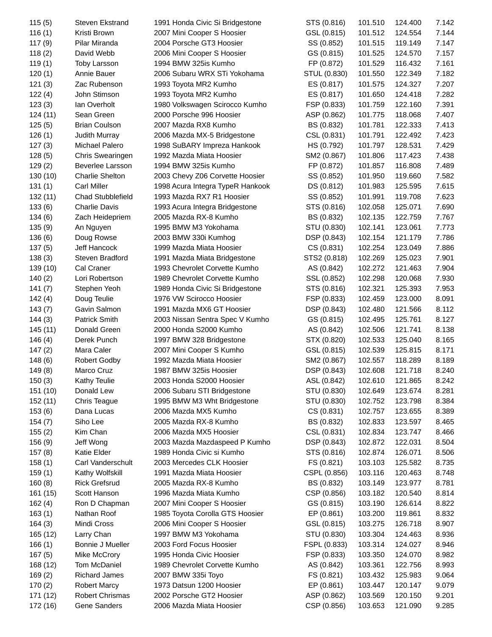| 115(5)   | <b>Steven Ekstrand</b>   | 1991 Honda Civic Si Bridgestone  | STS (0.816)  | 101.510 | 124.400 | 7.142 |
|----------|--------------------------|----------------------------------|--------------|---------|---------|-------|
| 116(1)   | Kristi Brown             | 2007 Mini Cooper S Hoosier       | GSL (0.815)  | 101.512 | 124.554 | 7.144 |
| 117(9)   | Pilar Miranda            | 2004 Porsche GT3 Hoosier         | SS (0.852)   | 101.515 | 119.149 | 7.147 |
| 118(2)   | David Webb               | 2006 Mini Cooper S Hoosier       | GS (0.815)   | 101.525 | 124.570 | 7.157 |
| 119(1)   | <b>Toby Larsson</b>      | 1994 BMW 325is Kumho             | FP (0.872)   | 101.529 | 116.432 | 7.161 |
| 120(1)   | Annie Bauer              | 2006 Subaru WRX STi Yokohama     | STUL (0.830) | 101.550 | 122.349 | 7.182 |
| 121(3)   | Zac Rubenson             | 1993 Toyota MR2 Kumho            | ES (0.817)   | 101.575 | 124.327 | 7.207 |
| 122(4)   | John Stimson             | 1993 Toyota MR2 Kumho            | ES (0.817)   | 101.650 | 124.418 | 7.282 |
| 123(3)   | Ian Overholt             | 1980 Volkswagen Scirocco Kumho   | FSP (0.833)  | 101.759 | 122.160 | 7.391 |
| 124(11)  | Sean Green               | 2000 Porsche 996 Hoosier         | ASP (0.862)  | 101.775 | 118.068 | 7.407 |
|          |                          |                                  | BS (0.832)   |         | 122.333 |       |
| 125(5)   | <b>Brian Coulson</b>     | 2007 Mazda RX8 Kumho             |              | 101.781 |         | 7.413 |
| 126(1)   | Judith Murray            | 2006 Mazda MX-5 Bridgestone      | CSL (0.831)  | 101.791 | 122.492 | 7.423 |
| 127(3)   | Michael Palero           | 1998 SuBARY Impreza Hankook      | HS (0.792)   | 101.797 | 128.531 | 7.429 |
| 128(5)   | Chris Swearingen         | 1992 Mazda Miata Hoosier         | SM2 (0.867)  | 101.806 | 117.423 | 7.438 |
| 129(2)   | Beverlee Larsson         | 1994 BMW 325is Kumho             | FP (0.872)   | 101.857 | 116.808 | 7.489 |
| 130 (10) | <b>Charlie Shelton</b>   | 2003 Chevy Z06 Corvette Hoosier  | SS (0.852)   | 101.950 | 119.660 | 7.582 |
| 131(1)   | <b>Carl Miller</b>       | 1998 Acura Integra TypeR Hankook | DS (0.812)   | 101.983 | 125.595 | 7.615 |
| 132 (11) | <b>Chad Stubblefield</b> | 1993 Mazda RX7 R1 Hoosier        | SS (0.852)   | 101.991 | 119.708 | 7.623 |
| 133(6)   | <b>Charlie Davis</b>     | 1993 Acura Integra Bridgestone   | STS (0.816)  | 102.058 | 125.071 | 7.690 |
| 134(6)   | Zach Heidepriem          | 2005 Mazda RX-8 Kumho            | BS (0.832)   | 102.135 | 122.759 | 7.767 |
| 135(9)   | An Nguyen                | 1995 BMW M3 Yokohama             | STU (0.830)  | 102.141 | 123.061 | 7.773 |
| 136(6)   | Doug Rowse               | 2003 BMW 330i Kumhog             | DSP (0.843)  | 102.154 | 121.179 | 7.786 |
| 137(5)   | Jeff Hancock             | 1999 Mazda Miata Hoosier         | CS(0.831)    | 102.254 | 123.049 | 7.886 |
| 138(3)   | Steven Bradford          | 1991 Mazda Miata Bridgestone     | STS2 (0.818) | 102.269 | 125.023 | 7.901 |
| 139 (10) | Cal Craner               | 1993 Chevrolet Corvette Kumho    | AS (0.842)   | 102.272 | 121.463 | 7.904 |
| 140(2)   | Lori Robertson           | 1989 Chevrolet Corvette Kumho    | SSL (0.852)  | 102.298 | 120.068 | 7.930 |
| 141(7)   | Stephen Yeoh             | 1989 Honda Civic Si Bridgestone  | STS (0.816)  | 102.321 | 125.393 | 7.953 |
| 142(4)   | Doug Teulie              | 1976 VW Scirocco Hoosier         | FSP (0.833)  | 102.459 | 123.000 | 8.091 |
| 143(7)   | Gavin Salmon             | 1991 Mazda MX6 GT Hoosier        | DSP (0.843)  | 102.480 | 121.566 | 8.112 |
| 144(3)   | Patrick Smith            | 2003 Nissan Sentra Spec V Kumho  | GS (0.815)   | 102.495 | 125.761 | 8.127 |
| 145 (11) | Donald Green             | 2000 Honda S2000 Kumho           | AS (0.842)   | 102.506 | 121.741 | 8.138 |
| 146(4)   | Derek Punch              | 1997 BMW 328 Bridgestone         | STX (0.820)  | 102.533 | 125.040 | 8.165 |
| 147(2)   | Mara Caler               | 2007 Mini Cooper S Kumho         | GSL (0.815)  | 102.539 | 125.815 | 8.171 |
| 148(6)   | <b>Robert Godby</b>      | 1992 Mazda Miata Hoosier         | SM2 (0.867)  | 102.557 | 118.289 | 8.189 |
| 149(8)   | Marco Cruz               | 1987 BMW 325is Hoosier           | DSP (0.843)  | 102.608 | 121.718 | 8.240 |
| 150(3)   | Kathy Teulie             | 2003 Honda S2000 Hoosier         | ASL (0.842)  | 102.610 | 121.865 | 8.242 |
| 151 (10) | Donald Lew               | 2006 Subaru STI Bridgestone      | STU (0.830)  | 102.649 | 123.674 | 8.281 |
| 152 (11) | Chris Teague             | 1995 BMW M3 Wht Bridgestone      | STU (0.830)  | 102.752 | 123.798 | 8.384 |
| 153(6)   |                          |                                  |              |         |         |       |
|          | Dana Lucas               | 2006 Mazda MX5 Kumho             | CS (0.831)   | 102.757 | 123.655 | 8.389 |
| 154 (7)  | Siho Lee                 | 2005 Mazda RX-8 Kumho            | BS (0.832)   | 102.833 | 123.597 | 8.465 |
| 155(2)   | Kim Chan                 | 2006 Mazda MX5 Hoosier           | CSL (0.831)  | 102.834 | 123.747 | 8.466 |
| 156 (9)  | Jeff Wong                | 2003 Mazda Mazdaspeed P Kumho    | DSP (0.843)  | 102.872 | 122.031 | 8.504 |
| 157(8)   | Katie Elder              | 1989 Honda Civic si Kumho        | STS (0.816)  | 102.874 | 126.071 | 8.506 |
| 158(1)   | Carl Vanderschult        | 2003 Mercedes CLK Hoosier        | FS (0.821)   | 103.103 | 125.582 | 8.735 |
| 159(1)   | Kathy Wolfskill          | 1991 Mazda Miata Hoosier         | CSPL (0.856) | 103.116 | 120.463 | 8.748 |
| 160(8)   | <b>Rick Grefsrud</b>     | 2005 Mazda RX-8 Kumho            | BS (0.832)   | 103.149 | 123.977 | 8.781 |
| 161 (15) | Scott Hanson             | 1996 Mazda Miata Kumho           | CSP (0.856)  | 103.182 | 120.540 | 8.814 |
| 162(4)   | Ron D Chapman            | 2007 Mini Cooper S Hoosier       | GS (0.815)   | 103.190 | 126.614 | 8.822 |
| 163(1)   | Nathan Roof              | 1985 Toyota Corolla GTS Hoosier  | EP (0.861)   | 103.200 | 119.861 | 8.832 |
| 164(3)   | Mindi Cross              | 2006 Mini Cooper S Hoosier       | GSL (0.815)  | 103.275 | 126.718 | 8.907 |
| 165 (12) | Larry Chan               | 1997 BMW M3 Yokohama             | STU (0.830)  | 103.304 | 124.463 | 8.936 |
| 166(1)   | Bonnie J Mueller         | 2003 Ford Focus Hoosier          | FSPL (0.833) | 103.314 | 124.027 | 8.946 |
| 167(5)   | Mike McCrory             | 1995 Honda Civic Hoosier         | FSP (0.833)  | 103.350 | 124.070 | 8.982 |
| 168 (12) | Tom McDaniel             | 1989 Chevrolet Corvette Kumho    | AS (0.842)   | 103.361 | 122.756 | 8.993 |
| 169(2)   | <b>Richard James</b>     | 2007 BMW 335i Toyo               | FS (0.821)   | 103.432 | 125.983 | 9.064 |
| 170(2)   | <b>Robert Marcy</b>      | 1973 Datsun 1200 Hoosier         | EP (0.861)   | 103.447 | 120.147 | 9.079 |
| 171 (12) | <b>Robert Chrismas</b>   | 2002 Porsche GT2 Hoosier         | ASP (0.862)  | 103.569 | 120.150 | 9.201 |
| 172 (16) | Gene Sanders             | 2006 Mazda Miata Hoosier         | CSP (0.856)  | 103.653 | 121.090 | 9.285 |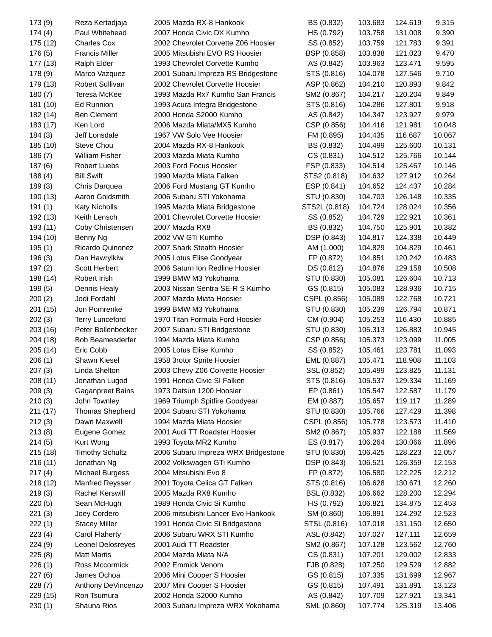| 173 (9)  | Reza Kertadjaja         | 2005 Mazda RX-8 Hankook             | BS (0.832)    | 103.683 | 124.619 | 9.315  |
|----------|-------------------------|-------------------------------------|---------------|---------|---------|--------|
| 174(4)   | Paul Whitehead          | 2007 Honda Civic DX Kumho           | HS (0.792)    | 103.758 | 131.008 | 9.390  |
| 175 (12) | <b>Charles Cox</b>      | 2002 Chevrolet Corvette Z06 Hoosier | SS (0.852)    | 103.759 | 121.783 | 9.391  |
| 176(5)   | <b>Francis Miller</b>   | 2005 Mitsubishi EVO RS Hoosier      | BSP (0.858)   | 103.838 | 121.023 | 9.470  |
| 177 (13) | Ralph Elder             | 1993 Chevrolet Corvette Kumho       | AS (0.842)    | 103.963 | 123.471 | 9.595  |
| 178 (9)  | Marco Vazquez           | 2001 Subaru Impreza RS Bridgestone  | STS (0.816)   | 104.078 | 127.546 | 9.710  |
| 179 (13) | Robert Sullivan         | 2002 Chevrolet Corvette Hoosier     | ASP (0.862)   | 104.210 | 120.893 | 9.842  |
| 180(7)   | Teresa McKee            | 1993 Mazda Rx7 Kumho San Francis    | SM2 (0.867)   | 104.217 | 120.204 | 9.849  |
| 181 (10) | <b>Ed Runnion</b>       | 1993 Acura Integra Bridgestone      | STS (0.816)   | 104.286 | 127.801 | 9.918  |
| 182 (14) | <b>Ben Clement</b>      | 2000 Honda S2000 Kumho              | AS (0.842)    | 104.347 | 123.927 | 9.979  |
| 183 (17) | Ken Lord                | 2006 Mazda Miata/MX5 Kumho          | CSP (0.856)   | 104.416 | 121.981 | 10.048 |
| 184(3)   | Jeff Lonsdale           | 1967 VW Solo Vee Hoosier            | FM (0.895)    | 104.435 | 116.687 | 10.067 |
| 185 (10) | Steve Chou              | 2004 Mazda RX-8 Hankook             | BS (0.832)    | 104.499 | 125.600 | 10.131 |
| 186(7)   | William Fisher          | 2003 Mazda Miata Kumho              | CS (0.831)    | 104.512 | 125.766 | 10.144 |
| 187(6)   | <b>Robert Luebs</b>     | 2003 Ford Focus Hoosier             | FSP (0.833)   | 104.514 | 125.467 | 10.146 |
| 188(4)   | <b>Bill Swift</b>       | 1990 Mazda Miata Falken             | STS2 (0.818)  | 104.632 | 127.912 | 10.264 |
| 189(3)   | Chris Darquea           | 2006 Ford Mustang GT Kumho          | ESP (0.841)   | 104.652 | 124.437 | 10.284 |
| 190 (13) | Aaron Goldsmith         | 2006 Subaru STI Yokohama            | STU (0.830)   | 104.703 | 126.148 | 10.335 |
| 191(1)   | <b>Katy Nicholls</b>    | 1995 Mazda Miata Bridgestone        | STS2L (0.818) | 104.724 | 128.024 | 10.356 |
|          | Keith Lensch            | 2001 Chevrolet Corvette Hoosier     | SS (0.852)    | 104.729 | 122.921 | 10.361 |
| 192 (13) | Coby Christensen        | 2007 Mazda RX8                      |               |         | 125.901 |        |
| 193 (11) |                         |                                     | BS (0.832)    | 104.750 |         | 10.382 |
| 194 (10) | Benny Ng                | 2002 VW GTi Kumho                   | DSP (0.843)   | 104.817 | 124.338 | 10.449 |
| 195(1)   | Ricardo Quinonez        | 2007 Shark Stealth Hoosier          | AM (1.000)    | 104.829 | 104.829 | 10.461 |
| 196(3)   | Dan Hawrylkiw           | 2005 Lotus Elise Goodyear           | FP (0.872)    | 104.851 | 120.242 | 10.483 |
| 197(2)   | Scott Herbert           | 2006 Saturn Ion Redline Hoosier     | DS (0.812)    | 104.876 | 129.158 | 10.508 |
| 198 (14) | Robert Irish            | 1999 BMW M3 Yokohama                | STU (0.830)   | 105.081 | 126.604 | 10.713 |
| 199(5)   | Dennis Healy            | 2003 Nissan Sentra SE-R S Kumho     | GS (0.815)    | 105.083 | 128.936 | 10.715 |
| 200(2)   | Jodi Fordahl            | 2007 Mazda Miata Hoosier            | CSPL (0.856)  | 105.089 | 122.768 | 10.721 |
| 201 (15) | Jon Pomrenke            | 1999 BMW M3 Yokohama                | STU (0.830)   | 105.239 | 126.794 | 10.871 |
| 202(3)   | <b>Terry Lunceford</b>  | 1970 Titan Formula Ford Hoosier     | CM (0.904)    | 105.253 | 116.430 | 10.885 |
| 203 (16) | Peter Bollenbecker      | 2007 Subaru STI Bridgestone         | STU (0.830)   | 105.313 | 126.883 | 10.945 |
| 204 (18) | Bob Beamesderfer        | 1994 Mazda Miata Kumho              | CSP (0.856)   | 105.373 | 123.099 | 11.005 |
| 205 (14) | Eric Cobb               | 2005 Lotus Elise Kumho              | SS (0.852)    | 105.461 | 123.781 | 11.093 |
| 206(1)   | Shawn Kiesel            | 1958 3rotor Sprite Hoosier          | EML (0.887)   | 105.471 | 118.908 | 11.103 |
| 207(3)   | Linda Shelton           | 2003 Chevy Z06 Corvette Hoosier     | SSL (0.852)   | 105.499 | 123.825 | 11.131 |
| 208 (11) | Jonathan Lugod          | 1991 Honda Civic SI Falken          | STS (0.816)   | 105.537 | 129.334 | 11.169 |
| 209(3)   | <b>Gaganpreet Bains</b> | 1973 Datsun 1200 Hoosier            | EP (0.861)    | 105.547 | 122.587 | 11.179 |
| 210(3)   | John Townley            | 1969 Triumph Spitfire Goodyear      | EM (0.887)    | 105.657 | 119.117 | 11.289 |
| 211 (17) | <b>Thomas Shepherd</b>  | 2004 Subaru STI Yokohama            | STU (0.830)   | 105.766 | 127.429 | 11.398 |
| 212(3)   | Dawn Maxwell            | 1994 Mazda Miata Hoosier            | CSPL (0.856)  | 105.778 | 123.573 | 11.410 |
| 213(8)   | Eugene Gomez            | 2001 Audi TT Roadster Hoosier       | SM2 (0.867)   | 105.937 | 122.188 | 11.569 |
| 214(5)   | Kurt Wong               | 1993 Toyota MR2 Kumho               | ES (0.817)    | 106.264 | 130.066 | 11.896 |
| 215 (18) | <b>Timothy Schultz</b>  | 2006 Subaru Impreza WRX Bridgestone | STU (0.830)   | 106.425 | 128.223 | 12.057 |
| 216 (11) | Jonathan Ng             | 2002 Volkswagen GTi Kumho           | DSP (0.843)   | 106.521 | 126.359 | 12.153 |
| 217(4)   | <b>Michael Burgess</b>  | 2004 Mitsubishi Evo 8               | FP (0.872)    | 106.580 | 122.225 | 12.212 |
| 218 (12) | <b>Manfred Reysser</b>  | 2001 Toyota Celica GT Falken        | STS (0.816)   | 106.628 | 130.671 | 12.260 |
| 219(3)   | Rachel Kerswill         | 2005 Mazda RX8 Kumho                | BSL (0.832)   | 106.662 | 128.200 | 12.294 |
| 220(5)   | Sean McHugh             | 1989 Honda Civic Si Kumho           | HS (0.792)    | 106.821 | 134.875 | 12.453 |
| 221(3)   | Joey Cordero            | 2006 mitsubishi Lancer Evo Hankook  | SM (0.860)    | 106.891 | 124.292 | 12.523 |
| 222(1)   | <b>Stacey Miller</b>    | 1991 Honda Civic Si Bridgestone     | STSL (0.816)  | 107.018 | 131.150 | 12.650 |
| 223(4)   | Carol Flaherty          | 2006 Subaru WRX STI Kumho           | ASL (0.842)   | 107.027 | 127.111 | 12.659 |
| 224 (9)  | Leonel Delosreyes       | 2001 Audi TT Roadster               | SM2 (0.867)   | 107.128 | 123.562 | 12.760 |
| 225(8)   | <b>Matt Martis</b>      | 2004 Mazda Miata N/A                | CS (0.831)    | 107.201 | 129.002 | 12.833 |
| 226(1)   | Ross Mccormick          | 2002 Emmick Venom                   | FJB (0.828)   | 107.250 | 129.529 | 12.882 |
| 227(6)   | James Ochoa             | 2006 Mini Cooper S Hoosier          | GS (0.815)    | 107.335 | 131.699 | 12.967 |
| 228(7)   | Anthony DeVincenzo      | 2007 Mini Cooper S Hoosier          | GS (0.815)    | 107.491 | 131.891 | 13.123 |
| 229 (15) | Ron Tsumura             | 2002 Honda S2000 Kumho              | AS (0.842)    | 107.709 | 127.921 | 13.341 |
|          | Shauna Rios             | 2003 Subaru Impreza WRX Yokohama    |               | 107.774 | 125.319 | 13.406 |
| 230(1)   |                         |                                     | SML (0.860)   |         |         |        |